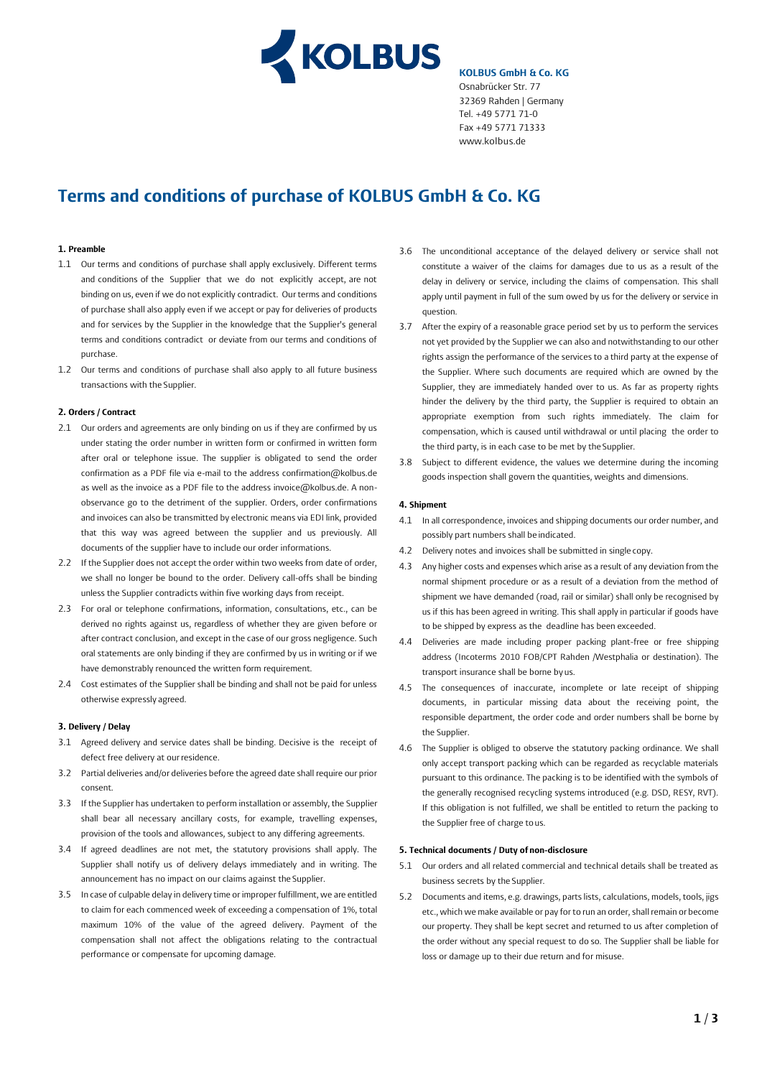

**KOLBUS GmbH & Co. KG** Osnabrücker Str. 77 32369 Rahden | Germany Tel. +49 5771 71-0 Fax +49 5[771 71333](http://www.kolbus.de/)  www.kolbus.de

# **Terms and conditions of purchase of KOLBUS GmbH & Co. KG**

# **1. Preamble**

- 1.1 Our terms and conditions of purchase shall apply exclusively. Different terms and conditions of the Supplier that we do not explicitly accept, are not binding on us, even if we do not explicitly contradict. Our terms and conditions of purchase shall also apply even if we accept or pay for deliveries of products and for services by the Supplier in the knowledge that the Supplier's general terms and conditions contradict or deviate from our terms and conditions of purchase.
- 1.2 Our terms and conditions of purchase shall also apply to all future business transactions with the Supplier.

#### **2. Orders / Contract**

- 2.1 Our orders and agreements are only binding on us if they are confirmed by us under stating the order number in written form or confirmed in written form after oral or telephone issue. The supplier is obligated to send the order confirmation as a PDF file via e-mail to the address confirmation@kolbus.de as well as the invoice as a PDF file to the address invoice@kolbus.de. A nonobservance go to the detriment of the supplier. Orders, order confirmations and invoices can also be transmitted by electronic means via EDI link, provided that this way was agreed between the supplier and us previously. All documents of the supplier have to include our order informations.
- 2.2 If the Supplier does not accept the order within two weeks from date of order, we shall no longer be bound to the order. Delivery call-offs shall be binding unless the Supplier contradicts within five working days from receipt.
- 2.3 For oral or telephone confirmations, information, consultations, etc., can be derived no rights against us, regardless of whether they are given before or after contract conclusion, and except in the case of our gross negligence. Such oral statements are only binding if they are confirmed by us in writing or if we have demonstrably renounced the written form requirement.
- 2.4 Cost estimates of the Supplier shall be binding and shall not be paid for unless otherwise expressly agreed.

#### **3. Delivery / Delay**

- 3.1 Agreed delivery and service dates shall be binding. Decisive is the receipt of defect free delivery at our residence.
- 3.2 Partial deliveries and/or deliveries before the agreed date shall require our prior consent.
- 3.3 If the Supplier has undertaken to perform installation or assembly, the Supplier shall bear all necessary ancillary costs, for example, travelling expenses, provision of the tools and allowances, subject to any differing agreements.
- 3.4 If agreed deadlines are not met, the statutory provisions shall apply. The Supplier shall notify us of delivery delays immediately and in writing. The announcement has no impact on our claims against the Supplier.
- 3.5 In case of culpable delay in delivery time or improper fulfillment, we are entitled to claim for each commenced week of exceeding a compensation of 1%, total maximum 10% of the value of the agreed delivery. Payment of the compensation shall not affect the obligations relating to the contractual performance or compensate for upcoming damage.
- 3.6 The unconditional acceptance of the delayed delivery or service shall not constitute a waiver of the claims for damages due to us as a result of the delay in delivery or service, including the claims of compensation. This shall apply until payment in full of the sum owed by us for the delivery or service in question.
- 3.7 After the expiry of a reasonable grace period set by us to perform the services not yet provided by the Supplier we can also and notwithstanding to our other rights assign the performance of the services to a third party at the expense of the Supplier. Where such documents are required which are owned by the Supplier, they are immediately handed over to us. As far as property rights hinder the delivery by the third party, the Supplier is required to obtain an appropriate exemption from such rights immediately. The claim for compensation, which is caused until withdrawal or until placing the order to the third party, is in each case to be met by the Supplier.
- 3.8 Subject to different evidence, the values we determine during the incoming goods inspection shall govern the quantities, weights and dimensions.

#### **4. Shipment**

- 4.1 In all correspondence, invoices and shipping documents our order number, and possibly part numbers shall be indicated.
- 4.2 Delivery notes and invoices shall be submitted in single copy.
- 4.3 Any higher costs and expenses which arise as a result of any deviation from the normal shipment procedure or as a result of a deviation from the method of shipment we have demanded (road, rail or similar) shall only be recognised by us if this has been agreed in writing. This shall apply in particular if goods have to be shipped by express as the deadline has been exceeded.
- 4.4 Deliveries are made including proper packing plant-free or free shipping address (Incoterms 2010 FOB/CPT Rahden /Westphalia or destination). The transport insurance shall be borne by us.
- 4.5 The consequences of inaccurate, incomplete or late receipt of shipping documents, in particular missing data about the receiving point, the responsible department, the order code and order numbers shall be borne by the Supplier.
- 4.6 The Supplier is obliged to observe the statutory packing ordinance. We shall only accept transport packing which can be regarded as recyclable materials pursuant to this ordinance. The packing is to be identified with the symbols of the generally recognised recycling systems introduced (e.g. DSD, RESY, RVT). If this obligation is not fulfilled, we shall be entitled to return the packing to the Supplier free of charge to us.

# **5. Technical documents / Duty of non-disclosure**

- 5.1 Our orders and all related commercial and technical details shall be treated as business secrets by the Supplier.
- 5.2 Documents and items, e.g. drawings, parts lists, calculations, models, tools, jigs etc., which we make available or pay for to run an order, shall remain or become our property. They shall be kept secret and returned to us after completion of the order without any special request to do so. The Supplier shall be liable for loss or damage up to their due return and for misuse.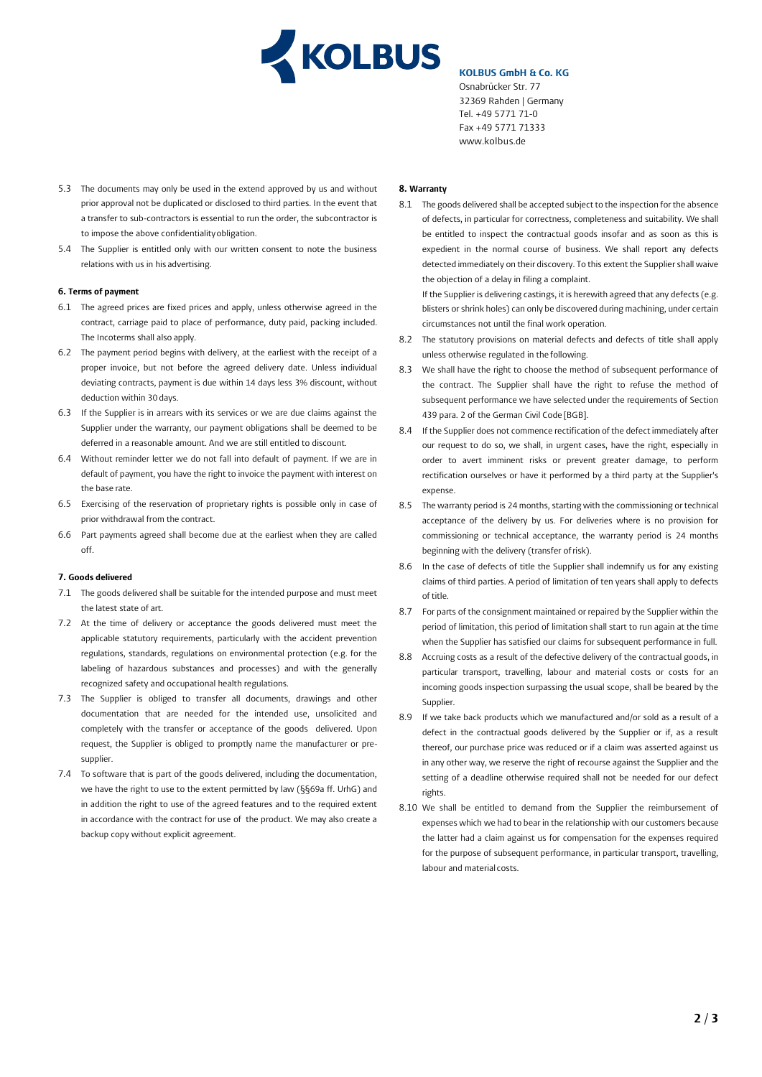

# **KOLBUS GmbH & Co. KG**

Osnabrücker Str. 77 32369 Rahden | Germany Tel. [+49 5771 71-0](http://www.kolbus.de/)  Fax +49 5771 71333 www.kolbus.de

- 5.3 The documents may only be used in the extend approved by us and without prior approval not be duplicated or disclosed to third parties. In the event that a transfer to sub-contractors is essential to run the order, the subcontractor is to impose the above confidentiality obligation.
- 5.4 The Supplier is entitled only with our written consent to note the business relations with us in his advertising.

# **6. Terms of payment**

- 6.1 The agreed prices are fixed prices and apply, unless otherwise agreed in the contract, carriage paid to place of performance, duty paid, packing included. The Incoterms shall also apply.
- 6.2 The payment period begins with delivery, at the earliest with the receipt of a proper invoice, but not before the agreed delivery date. Unless individual deviating contracts, payment is due within 14 days less 3% discount, without deduction within 30 days.
- 6.3 If the Supplier is in arrears with its services or we are due claims against the Supplier under the warranty, our payment obligations shall be deemed to be deferred in a reasonable amount. And we are still entitled to discount.
- 6.4 Without reminder letter we do not fall into default of payment. If we are in default of payment, you have the right to invoice the payment with interest on the base rate.
- 6.5 Exercising of the reservation of proprietary rights is possible only in case of prior withdrawal from the contract.
- 6.6 Part payments agreed shall become due at the earliest when they are called off.

#### **7. Goods delivered**

- 7.1 The goods delivered shall be suitable for the intended purpose and must meet the latest state of art.
- 7.2 At the time of delivery or acceptance the goods delivered must meet the applicable statutory requirements, particularly with the accident prevention regulations, standards, regulations on environmental protection (e.g. for the labeling of hazardous substances and processes) and with the generally recognized safety and occupational health regulations.
- 7.3 The Supplier is obliged to transfer all documents, drawings and other documentation that are needed for the intended use, unsolicited and completely with the transfer or acceptance of the goods delivered. Upon request, the Supplier is obliged to promptly name the manufacturer or presupplier.
- 7.4 To software that is part of the goods delivered, including the documentation, we have the right to use to the extent permitted by law (§§69a ff. UrhG) and in addition the right to use of the agreed features and to the required extent in accordance with the contract for use of the product. We may also create a backup copy without explicit agreement.

# **8. Warranty**

8.1 The goods delivered shall be accepted subject to the inspection for the absence of defects, in particular for correctness, completeness and suitability. We shall be entitled to inspect the contractual goods insofar and as soon as this is expedient in the normal course of business. We shall report any defects detected immediately on their discovery. To this extent the Supplier shall waive the objection of a delay in filing a complaint.

If the Supplier is delivering castings, it is herewith agreed that any defects (e.g. blisters or shrink holes) can only be discovered during machining, under certain circumstances not until the final work operation.

- 8.2 The statutory provisions on material defects and defects of title shall apply unless otherwise regulated in the following.
- 8.3 We shall have the right to choose the method of subsequent performance of the contract. The Supplier shall have the right to refuse the method of subsequent performance we have selected under the requirements of Section 439 para. 2 of the German Civil Code [BGB].
- 8.4 If the Supplier does not commence rectification of the defect immediately after our request to do so, we shall, in urgent cases, have the right, especially in order to avert imminent risks or prevent greater damage, to perform rectification ourselves or have it performed by a third party at the Supplier's expense.
- 8.5 The warranty period is 24 months, starting with the commissioning or technical acceptance of the delivery by us. For deliveries where is no provision for commissioning or technical acceptance, the warranty period is 24 months beginning with the delivery (transfer of risk).
- 8.6 In the case of defects of title the Supplier shall indemnify us for any existing claims of third parties. A period of limitation of ten years shall apply to defects of title.
- 8.7 For parts of the consignment maintained or repaired by the Supplier within the period of limitation, this period of limitation shall start to run again at the time when the Supplier has satisfied our claims for subsequent performance in full.
- 8.8 Accruing costs as a result of the defective delivery of the contractual goods, in particular transport, travelling, labour and material costs or costs for an incoming goods inspection surpassing the usual scope, shall be beared by the Supplier.
- 8.9 If we take back products which we manufactured and/or sold as a result of a defect in the contractual goods delivered by the Supplier or if, as a result thereof, our purchase price was reduced or if a claim was asserted against us in any other way, we reserve the right of recourse against the Supplier and the setting of a deadline otherwise required shall not be needed for our defect rights.
- 8.10 We shall be entitled to demand from the Supplier the reimbursement of expenses which we had to bear in the relationship with our customers because the latter had a claim against us for compensation for the expenses required for the purpose of subsequent performance, in particular transport, travelling, labour and material costs.